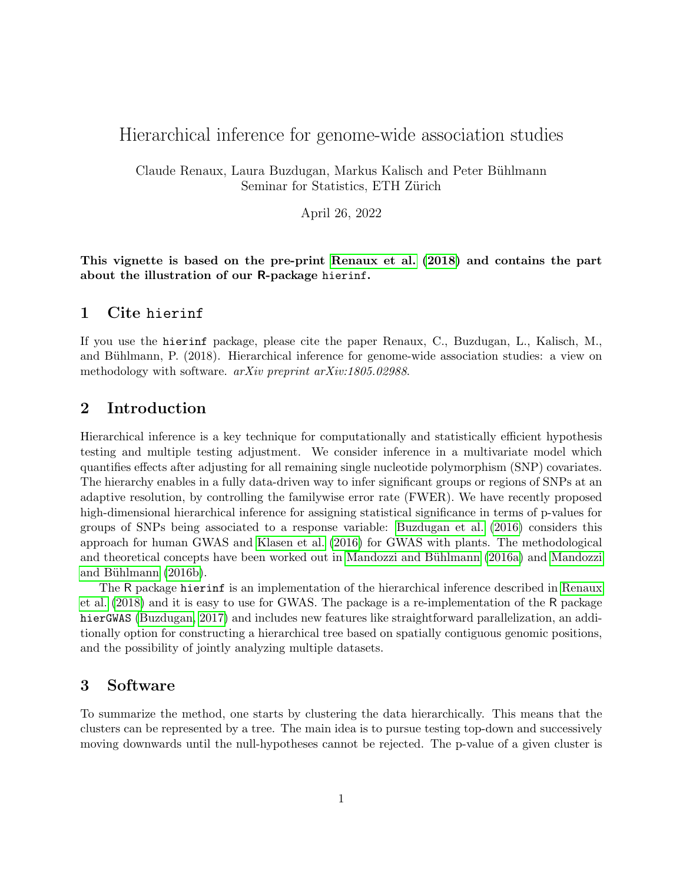# Hierarchical inference for genome-wide association studies

Claude Renaux, Laura Buzdugan, Markus Kalisch and Peter Bühlmann Seminar for Statistics, ETH Zürich

April 26, 2022

This vignette is based on the pre-print [Renaux et al.](#page-9-0) [\(2018\)](#page-9-0) and contains the part about the illustration of our R-package hierinf.

### 1 Cite hierinf

If you use the hierinf package, please cite the paper Renaux, C., Buzdugan, L., Kalisch, M., and Bühlmann, P. (2018). Hierarchical inference for genome-wide association studies: a view on methodology with software. *arXiv preprint arXiv:1805.02988*.

## 2 Introduction

Hierarchical inference is a key technique for computationally and statistically efficient hypothesis testing and multiple testing adjustment. We consider inference in a multivariate model which quantifies effects after adjusting for all remaining single nucleotide polymorphism (SNP) covariates. The hierarchy enables in a fully data-driven way to infer significant groups or regions of SNPs at an adaptive resolution, by controlling the familywise error rate (FWER). We have recently proposed high-dimensional hierarchical inference for assigning statistical significance in terms of p-values for groups of SNPs being associated to a response variable: [Buzdugan et al.](#page-8-0) [\(2016\)](#page-8-0) considers this approach for human GWAS and [Klasen et al.](#page-8-1) [\(2016\)](#page-8-1) for GWAS with plants. The methodological and theoretical concepts have been worked out in Mandozzi and Bühlmann [\(2016a\)](#page-9-1) and [Mandozzi](#page-9-2) and Bühlmann  $(2016b)$ .

The R package hierinf is an implementation of the hierarchical inference described in [Renaux](#page-9-0) [et al.](#page-9-0) [\(2018\)](#page-9-0) and it is easy to use for GWAS. The package is a re-implementation of the R package hierGWAS [\(Buzdugan, 2017\)](#page-8-2) and includes new features like straightforward parallelization, an additionally option for constructing a hierarchical tree based on spatially contiguous genomic positions, and the possibility of jointly analyzing multiple datasets.

# <span id="page-0-0"></span>3 Software

To summarize the method, one starts by clustering the data hierarchically. This means that the clusters can be represented by a tree. The main idea is to pursue testing top-down and successively moving downwards until the null-hypotheses cannot be rejected. The p-value of a given cluster is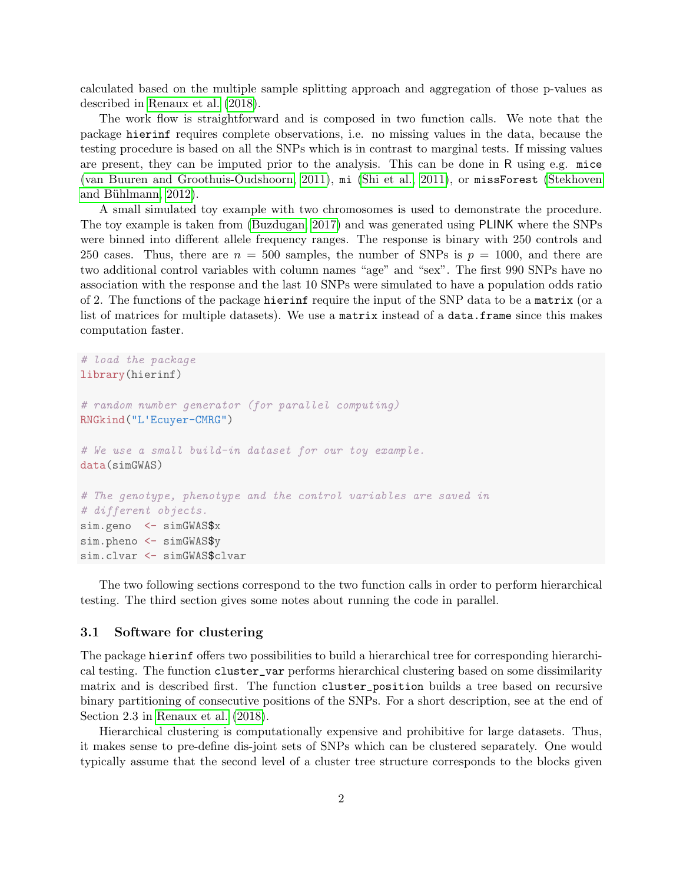calculated based on the multiple sample splitting approach and aggregation of those p-values as described in [Renaux et al.](#page-9-0) [\(2018\)](#page-9-0).

The work flow is straightforward and is composed in two function calls. We note that the package hierinf requires complete observations, i.e. no missing values in the data, because the testing procedure is based on all the SNPs which is in contrast to marginal tests. If missing values are present, they can be imputed prior to the analysis. This can be done in R using e.g. mice [\(van Buuren and Groothuis-Oudshoorn, 2011\)](#page-9-3), mi [\(Shi et al., 2011\)](#page-9-4), or missForest [\(Stekhoven](#page-9-5) and Bühlmann, 2012).

A small simulated toy example with two chromosomes is used to demonstrate the procedure. The toy example is taken from [\(Buzdugan, 2017\)](#page-8-2) and was generated using PLINK where the SNPs were binned into different allele frequency ranges. The response is binary with 250 controls and 250 cases. Thus, there are  $n = 500$  samples, the number of SNPs is  $p = 1000$ , and there are two additional control variables with column names "age" and "sex". The first 990 SNPs have no association with the response and the last 10 SNPs were simulated to have a population odds ratio of 2. The functions of the package hierinf require the input of the SNP data to be a matrix (or a list of matrices for multiple datasets). We use a matrix instead of a data.frame since this makes computation faster.

```
# load the package
library(hierinf)
# random number generator (for parallel computing)
RNGkind("L'Ecuyer-CMRG")
# We use a small build-in dataset for our toy example.
data(simGWAS)
# The genotype, phenotype and the control variables are saved in
# different objects.
sim.geno <- simGWAS$x
sim.pheno <- simGWAS$v
sim.clvar <- simGWAS$clvar
```
The two following sections correspond to the two function calls in order to perform hierarchical testing. The third section gives some notes about running the code in parallel.

#### <span id="page-1-0"></span>3.1 Software for clustering

The package hierinf offers two possibilities to build a hierarchical tree for corresponding hierarchical testing. The function cluster\_var performs hierarchical clustering based on some dissimilarity matrix and is described first. The function cluster\_position builds a tree based on recursive binary partitioning of consecutive positions of the SNPs. For a short description, see at the end of Section 2.3 in [Renaux et al.](#page-9-0) [\(2018\)](#page-9-0).

Hierarchical clustering is computationally expensive and prohibitive for large datasets. Thus, it makes sense to pre-define dis-joint sets of SNPs which can be clustered separately. One would typically assume that the second level of a cluster tree structure corresponds to the blocks given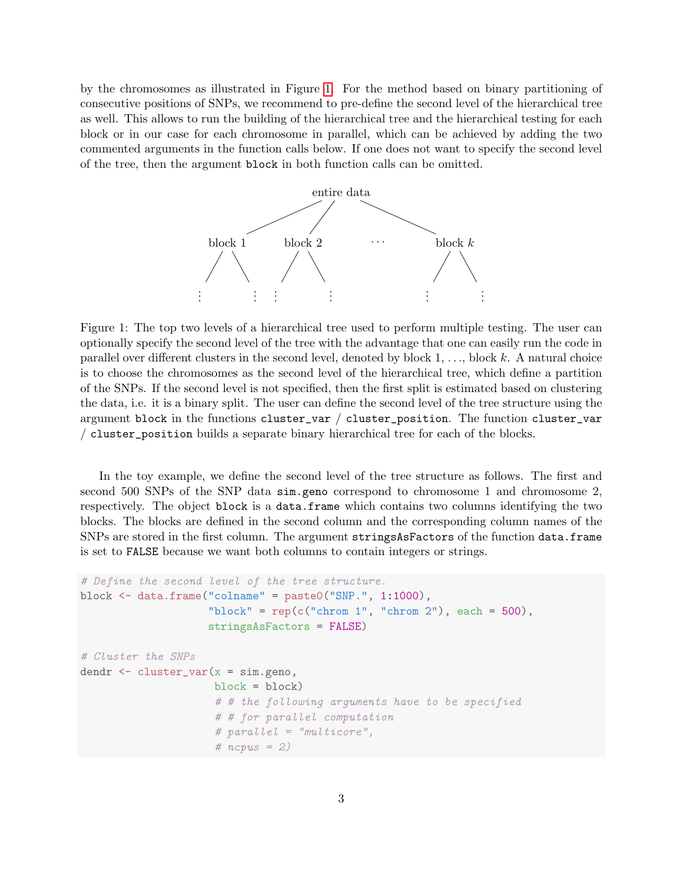by the chromosomes as illustrated in Figure [1.](#page-2-0) For the method based on binary partitioning of consecutive positions of SNPs, we recommend to pre-define the second level of the hierarchical tree as well. This allows to run the building of the hierarchical tree and the hierarchical testing for each block or in our case for each chromosome in parallel, which can be achieved by adding the two commented arguments in the function calls below. If one does not want to specify the second level of the tree, then the argument block in both function calls can be omitted.



<span id="page-2-0"></span>Figure 1: The top two levels of a hierarchical tree used to perform multiple testing. The user can optionally specify the second level of the tree with the advantage that one can easily run the code in parallel over different clusters in the second level, denoted by block  $1, \ldots$ , block k. A natural choice is to choose the chromosomes as the second level of the hierarchical tree, which define a partition of the SNPs. If the second level is not specified, then the first split is estimated based on clustering the data, i.e. it is a binary split. The user can define the second level of the tree structure using the argument block in the functions cluster\_var / cluster\_position. The function cluster\_var / cluster\_position builds a separate binary hierarchical tree for each of the blocks.

In the toy example, we define the second level of the tree structure as follows. The first and second 500 SNPs of the SNP data sim.geno correspond to chromosome 1 and chromosome 2, respectively. The object block is a data.frame which contains two columns identifying the two blocks. The blocks are defined in the second column and the corresponding column names of the SNPs are stored in the first column. The argument stringsAsFactors of the function data.frame is set to FALSE because we want both columns to contain integers or strings.

```
# Define the second level of the tree structure.
block \leq data.frame("colname" = paste0("SNP.", 1:1000),
                    "block" = rep(c("chrom 1", "chrom 2"), each = 500),
                    stringsAsFactors = FALSE)
# Cluster the SNPs
dendr \leq cluster_var(x = sim.geno,
                     block = block)
                     # # the following arguments have to be specified
                     # # for parallel computation
                     # parallel = "multicore",
                     # ncpus = 2)
```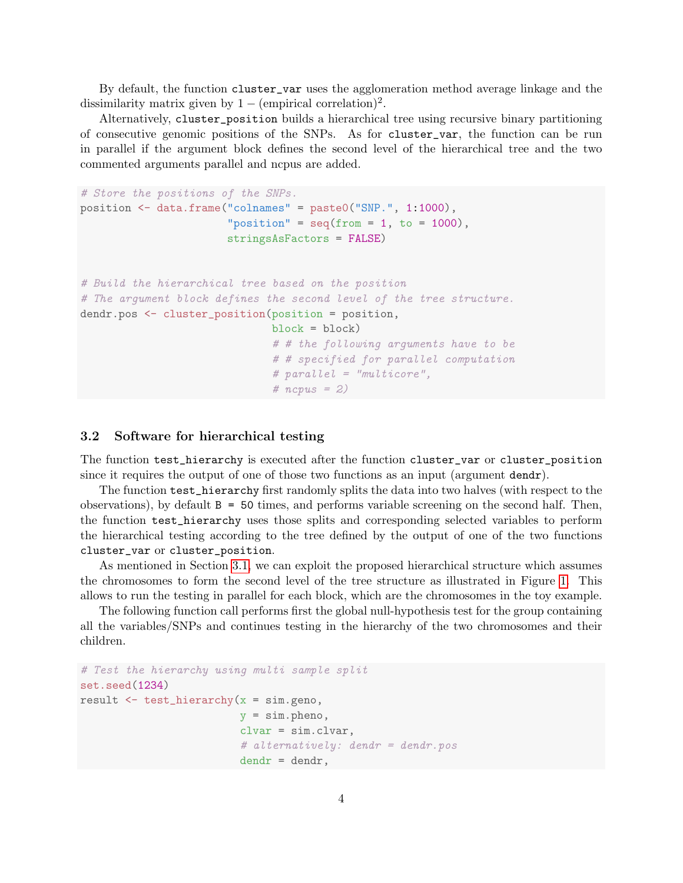By default, the function cluster\_var uses the agglomeration method average linkage and the dissimilarity matrix given by  $1 - (empirical correlation)^2$ .

Alternatively, cluster\_position builds a hierarchical tree using recursive binary partitioning of consecutive genomic positions of the SNPs. As for cluster\_var, the function can be run in parallel if the argument block defines the second level of the hierarchical tree and the two commented arguments parallel and ncpus are added.

```
# Store the positions of the SNPs.
position <- data.frame("colnames" = paste0("SNP.", 1:1000),
                       "position" = seq(from = 1, to = 1000),
                       stringsAsFactors = FALSE)
# Build the hierarchical tree based on the position
# The argument block defines the second level of the tree structure.
dendr.pos <- cluster_position(position = position,
                              block = block# # the following arguments have to be
                              # # specified for parallel computation
                              # parallel = "multicore",
                              # ncpus = 2)
```
### 3.2 Software for hierarchical testing

The function test\_hierarchy is executed after the function cluster\_var or cluster\_position since it requires the output of one of those two functions as an input (argument dendr).

The function test\_hierarchy first randomly splits the data into two halves (with respect to the observations), by default B = 50 times, and performs variable screening on the second half. Then, the function test\_hierarchy uses those splits and corresponding selected variables to perform the hierarchical testing according to the tree defined by the output of one of the two functions cluster\_var or cluster\_position.

As mentioned in Section [3.1,](#page-1-0) we can exploit the proposed hierarchical structure which assumes the chromosomes to form the second level of the tree structure as illustrated in Figure [1.](#page-2-0) This allows to run the testing in parallel for each block, which are the chromosomes in the toy example.

The following function call performs first the global null-hypothesis test for the group containing all the variables/SNPs and continues testing in the hierarchy of the two chromosomes and their children.

```
# Test the hierarchy using multi sample split
set.seed(1234)
result \leq test_hierarchy(x = sim.geno,
                         y = sim.pheno,
                         clvar = sim.clvar,
                         # alternatively: dendr = dendr.pos
                         dendr = dendr,
```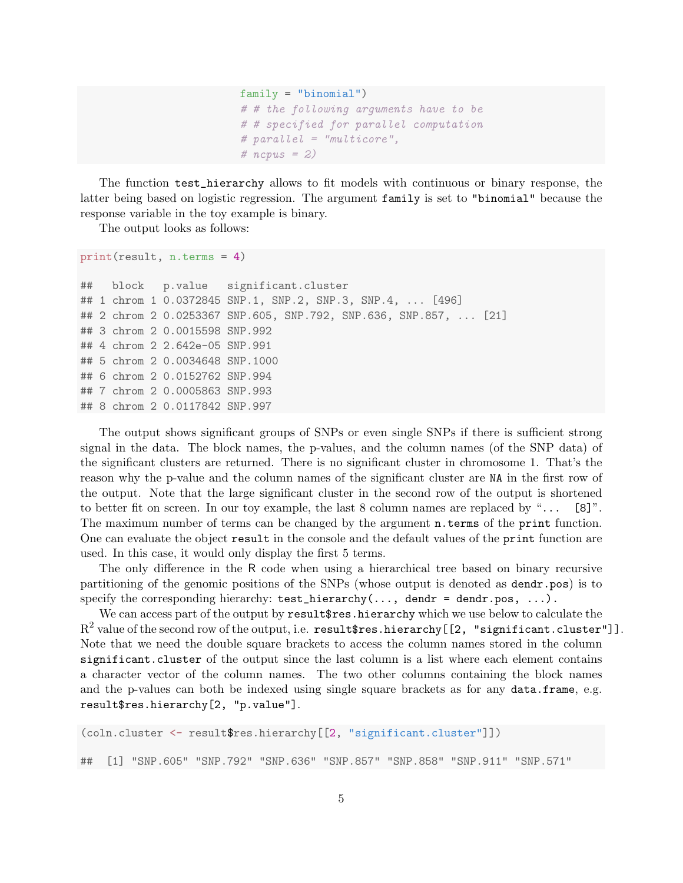```
family = "binomial")
# # the following arguments have to be
# # specified for parallel computation
# parallel = "multicore",
# ncpus = 2)
```
The function test\_hierarchy allows to fit models with continuous or binary response, the latter being based on logistic regression. The argument family is set to "binomial" because the response variable in the toy example is binary.

The output looks as follows:

```
print(result, n.terms = 4)
```

```
## block p.value significant.cluster
## 1 chrom 1 0.0372845 SNP.1, SNP.2, SNP.3, SNP.4, ... [496]
## 2 chrom 2 0.0253367 SNP.605, SNP.792, SNP.636, SNP.857, ... [21]
## 3 chrom 2 0.0015598 SNP.992
## 4 chrom 2 2.642e-05 SNP.991
## 5 chrom 2 0.0034648 SNP.1000
## 6 chrom 2 0.0152762 SNP.994
## 7 chrom 2 0.0005863 SNP.993
## 8 chrom 2 0.0117842 SNP.997
```
The output shows significant groups of SNPs or even single SNPs if there is sufficient strong signal in the data. The block names, the p-values, and the column names (of the SNP data) of the significant clusters are returned. There is no significant cluster in chromosome 1. That's the reason why the p-value and the column names of the significant cluster are NA in the first row of the output. Note that the large significant cluster in the second row of the output is shortened to better fit on screen. In our toy example, the last  $8$  column names are replaced by "... [8]". The maximum number of terms can be changed by the argument **n**.terms of the print function. One can evaluate the object result in the console and the default values of the print function are used. In this case, it would only display the first 5 terms.

The only difference in the R code when using a hierarchical tree based on binary recursive partitioning of the genomic positions of the SNPs (whose output is denoted as dendr.pos) is to specify the corresponding hierarchy:  $test\_hierarchy(..., dendr = dendr.pos, ...).$ 

We can access part of the output by result fres.hierarchy which we use below to calculate the  $\mathrm{R}^2$  value of the second row of the output, i.e. <code>result\$res.hierarchy[[2, "significant.cluster"]].</code> Note that we need the double square brackets to access the column names stored in the column significant.cluster of the output since the last column is a list where each element contains a character vector of the column names. The two other columns containing the block names and the p-values can both be indexed using single square brackets as for any data.frame, e.g. result\$res.hierarchy[2, "p.value"].

```
(coln.cluster <- result$res.hierarchy[[2, "significant.cluster"]])
## [1] "SNP.605" "SNP.792" "SNP.636" "SNP.857" "SNP.858" "SNP.911" "SNP.571"
```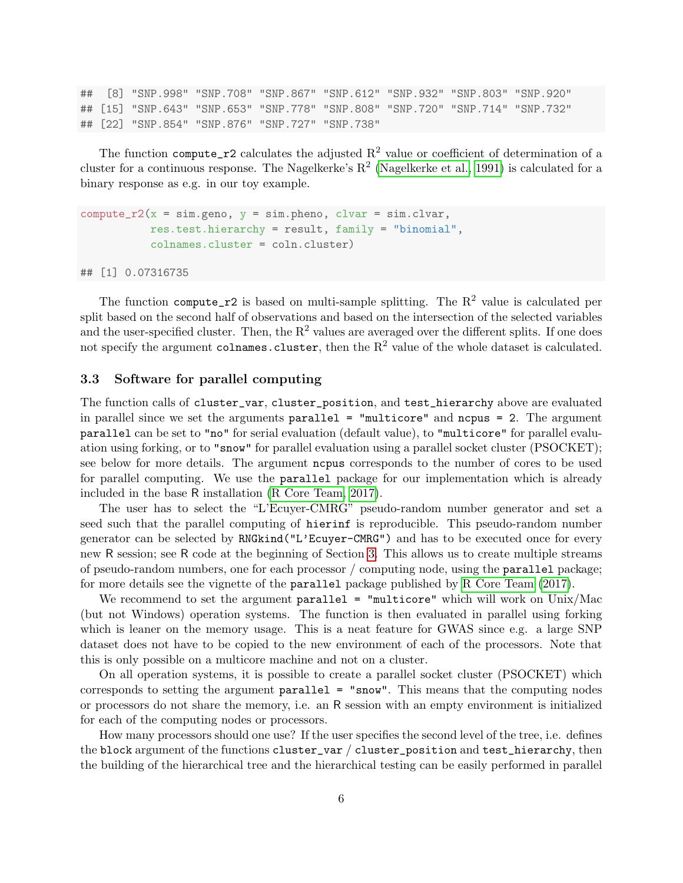## [8] "SNP.998" "SNP.708" "SNP.867" "SNP.612" "SNP.932" "SNP.803" "SNP.920" ## [15] "SNP.643" "SNP.653" "SNP.778" "SNP.808" "SNP.720" "SNP.714" "SNP.732" ## [22] "SNP.854" "SNP.876" "SNP.727" "SNP.738"

The function compute<sub>r2</sub> calculates the adjusted  $R^2$  value or coefficient of determination of a cluster for a continuous response. The Nagelkerke's  $R^2$  [\(Nagelkerke et al., 1991\)](#page-9-6) is calculated for a binary response as e.g. in our toy example.

```
compute_r2(x = sim.geno, y = sim.pheno, clvar = sim-clvar,res.test.hierarchy = result, family = "binomial",
           colnames.cluster = coln.cluster)
```
## [1] 0.07316735

The function compute<sub>r2</sub> is based on multi-sample splitting. The  $R^2$  value is calculated per split based on the second half of observations and based on the intersection of the selected variables and the user-specified cluster. Then, the  $R^2$  values are averaged over the different splits. If one does not specify the argument colnames.cluster, then the  $R^2$  value of the whole dataset is calculated.

#### <span id="page-5-0"></span>3.3 Software for parallel computing

The function calls of cluster\_var, cluster\_position, and test\_hierarchy above are evaluated in parallel since we set the arguments  $parallel = "multicore"$  and  $ncpus = 2$ . The argument parallel can be set to "no" for serial evaluation (default value), to "multicore" for parallel evaluation using forking, or to "snow" for parallel evaluation using a parallel socket cluster (PSOCKET); see below for more details. The argument ncpus corresponds to the number of cores to be used for parallel computing. We use the parallel package for our implementation which is already included in the base R installation [\(R Core Team, 2017\)](#page-9-7).

The user has to select the "L'Ecuyer-CMRG" pseudo-random number generator and set a seed such that the parallel computing of hierinf is reproducible. This pseudo-random number generator can be selected by RNGkind("L'Ecuyer-CMRG") and has to be executed once for every new R session; see R code at the beginning of Section [3.](#page-0-0) This allows us to create multiple streams of pseudo-random numbers, one for each processor / computing node, using the parallel package; for more details see the vignette of the parallel package published by [R Core Team](#page-9-7) [\(2017\)](#page-9-7).

We recommend to set the argument parallel  $=$  "multicore" which will work on Unix/Mac (but not Windows) operation systems. The function is then evaluated in parallel using forking which is leaner on the memory usage. This is a neat feature for GWAS since e.g. a large SNP dataset does not have to be copied to the new environment of each of the processors. Note that this is only possible on a multicore machine and not on a cluster.

On all operation systems, it is possible to create a parallel socket cluster (PSOCKET) which corresponds to setting the argument parallel = "snow". This means that the computing nodes or processors do not share the memory, i.e. an R session with an empty environment is initialized for each of the computing nodes or processors.

How many processors should one use? If the user specifies the second level of the tree, i.e. defines the block argument of the functions cluster\_var / cluster\_position and test\_hierarchy, then the building of the hierarchical tree and the hierarchical testing can be easily performed in parallel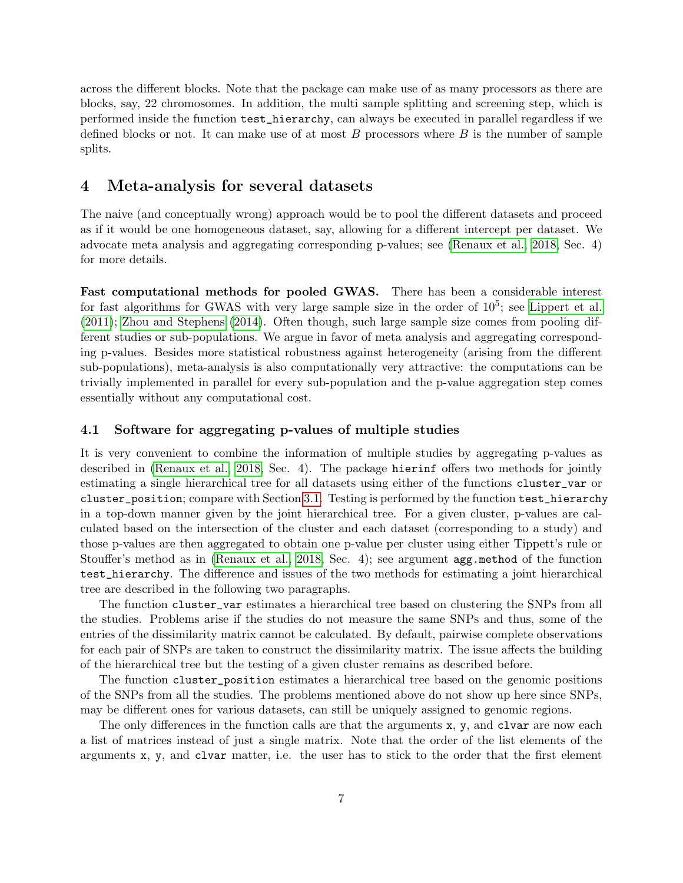across the different blocks. Note that the package can make use of as many processors as there are blocks, say, 22 chromosomes. In addition, the multi sample splitting and screening step, which is performed inside the function test\_hierarchy, can always be executed in parallel regardless if we defined blocks or not. It can make use of at most  $B$  processors where  $B$  is the number of sample splits.

### 4 Meta-analysis for several datasets

The naive (and conceptually wrong) approach would be to pool the different datasets and proceed as if it would be one homogeneous dataset, say, allowing for a different intercept per dataset. We advocate meta analysis and aggregating corresponding p-values; see [\(Renaux et al., 2018,](#page-9-0) Sec. 4) for more details.

Fast computational methods for pooled GWAS. There has been a considerable interest for fast algorithms for GWAS with very large sample size in the order of  $10^5$ ; see [Lippert et al.](#page-8-3) [\(2011\)](#page-8-3); [Zhou and Stephens](#page-9-8) [\(2014\)](#page-9-8). Often though, such large sample size comes from pooling different studies or sub-populations. We argue in favor of meta analysis and aggregating corresponding p-values. Besides more statistical robustness against heterogeneity (arising from the different sub-populations), meta-analysis is also computationally very attractive: the computations can be trivially implemented in parallel for every sub-population and the p-value aggregation step comes essentially without any computational cost.

#### 4.1 Software for aggregating p-values of multiple studies

It is very convenient to combine the information of multiple studies by aggregating p-values as described in [\(Renaux et al., 2018,](#page-9-0) Sec. 4). The package hierinf offers two methods for jointly estimating a single hierarchical tree for all datasets using either of the functions cluster\_var or cluster\_position; compare with Section [3.1.](#page-1-0) Testing is performed by the function test\_hierarchy in a top-down manner given by the joint hierarchical tree. For a given cluster, p-values are calculated based on the intersection of the cluster and each dataset (corresponding to a study) and those p-values are then aggregated to obtain one p-value per cluster using either Tippett's rule or Stouffer's method as in [\(Renaux et al., 2018,](#page-9-0) Sec. 4); see argument agg.method of the function test\_hierarchy. The difference and issues of the two methods for estimating a joint hierarchical tree are described in the following two paragraphs.

The function cluster\_var estimates a hierarchical tree based on clustering the SNPs from all the studies. Problems arise if the studies do not measure the same SNPs and thus, some of the entries of the dissimilarity matrix cannot be calculated. By default, pairwise complete observations for each pair of SNPs are taken to construct the dissimilarity matrix. The issue affects the building of the hierarchical tree but the testing of a given cluster remains as described before.

The function cluster\_position estimates a hierarchical tree based on the genomic positions of the SNPs from all the studies. The problems mentioned above do not show up here since SNPs, may be different ones for various datasets, can still be uniquely assigned to genomic regions.

The only differences in the function calls are that the arguments x, y, and clvar are now each a list of matrices instead of just a single matrix. Note that the order of the list elements of the arguments x, y, and clvar matter, i.e. the user has to stick to the order that the first element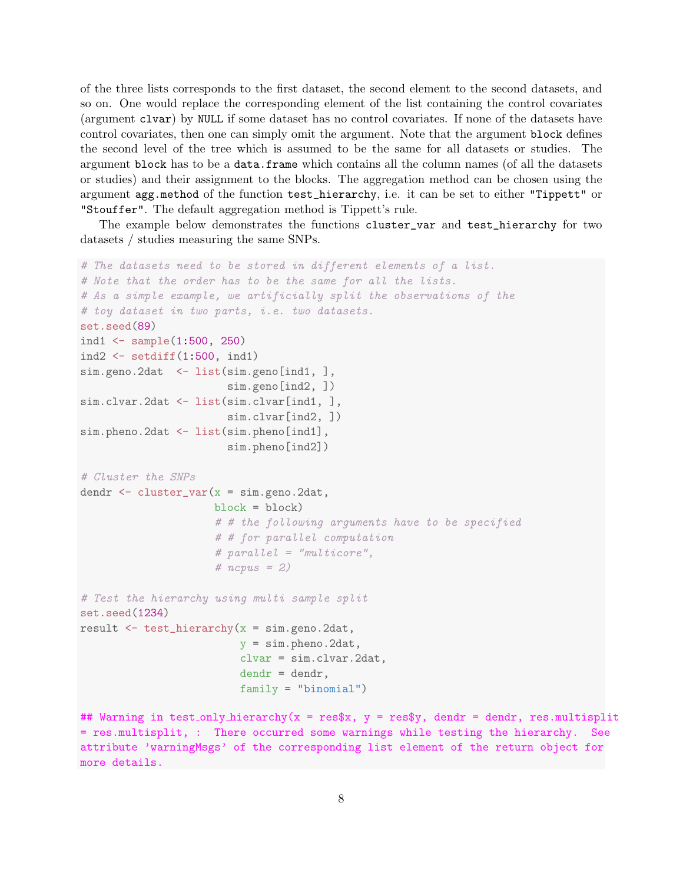of the three lists corresponds to the first dataset, the second element to the second datasets, and so on. One would replace the corresponding element of the list containing the control covariates (argument clvar) by NULL if some dataset has no control covariates. If none of the datasets have control covariates, then one can simply omit the argument. Note that the argument block defines the second level of the tree which is assumed to be the same for all datasets or studies. The argument block has to be a data.frame which contains all the column names (of all the datasets or studies) and their assignment to the blocks. The aggregation method can be chosen using the argument agg.method of the function test\_hierarchy, i.e. it can be set to either "Tippett" or "Stouffer". The default aggregation method is Tippett's rule.

The example below demonstrates the functions cluster\_var and test\_hierarchy for two datasets / studies measuring the same SNPs.

```
# The datasets need to be stored in different elements of a list.
# Note that the order has to be the same for all the lists.
# As a simple example, we artificially split the observations of the
# toy dataset in two parts, i.e. two datasets.
set.seed(89)
ind1 <- sample(1:500, 250)
ind2\leftarrow setdiff(1:500, ind1)
sim.geno.2dat <- list(sim.geno[ind1, ],
                       sim.geno[ind2, ])
sim.clvar.2dat <- list(sim.clvar[ind1, ],
                       sim.clvar[ind2, ])
sim.pheno.2dat <- list(sim.pheno[ind1],
                       sim.pheno[ind2])
# Cluster the SNPs
dendr <- cluster_var(x = sim.geno.2dat,
                     block = block)
                     # # the following arguments have to be specified
                     # # for parallel computation
                     # parallel = "multicore",
                     # ncpus = 2)
# Test the hierarchy using multi sample split
set.seed(1234)
result \leq test_hierarchy(x = sim.geno.2dat,
                         y = sim.pheno.2dat,
                         clvar = sim.clvar.2dat,
                         dendr = dendr,
                         family = "binomial")
## Warning in test only hierarchy(x = res$x, y = res$y, dendr = dendr, res.multisplit
= res.multisplit, : There occurred some warnings while testing the hierarchy. See
attribute 'warningMsgs' of the corresponding list element of the return object for
more details.
```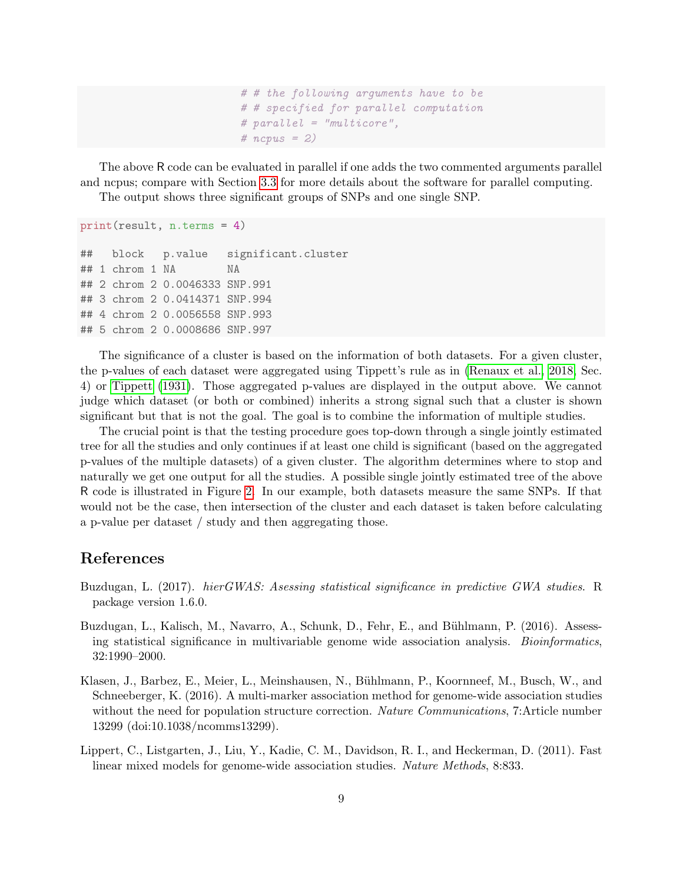# # the following arguments have to be # # specified for parallel computation # parallel = "multicore", # ncpus = 2)

The above R code can be evaluated in parallel if one adds the two commented arguments parallel and ncpus; compare with Section [3.3](#page-5-0) for more details about the software for parallel computing. The output shows three significant groups of SNPs and one single SNP.

```
print(result, n.terms = 4)
## block p.value significant.cluster
## 1 chrom 1 NA NA
## 2 chrom 2 0.0046333 SNP.991
## 3 chrom 2 0.0414371 SNP.994
## 4 chrom 2 0.0056558 SNP.993
## 5 chrom 2 0.0008686 SNP.997
```
The significance of a cluster is based on the information of both datasets. For a given cluster, the p-values of each dataset were aggregated using Tippett's rule as in [\(Renaux et al., 2018,](#page-9-0) Sec. 4) or [Tippett](#page-9-9) [\(1931\)](#page-9-9). Those aggregated p-values are displayed in the output above. We cannot judge which dataset (or both or combined) inherits a strong signal such that a cluster is shown significant but that is not the goal. The goal is to combine the information of multiple studies.

The crucial point is that the testing procedure goes top-down through a single jointly estimated tree for all the studies and only continues if at least one child is significant (based on the aggregated p-values of the multiple datasets) of a given cluster. The algorithm determines where to stop and naturally we get one output for all the studies. A possible single jointly estimated tree of the above R code is illustrated in Figure [2.](#page-9-10) In our example, both datasets measure the same SNPs. If that would not be the case, then intersection of the cluster and each dataset is taken before calculating a p-value per dataset / study and then aggregating those.

# References

- <span id="page-8-2"></span>Buzdugan, L. (2017). *hierGWAS: Asessing statistical significance in predictive GWA studies.* R package version 1.6.0.
- <span id="page-8-0"></span>Buzdugan, L., Kalisch, M., Navarro, A., Schunk, D., Fehr, E., and Bühlmann, P. (2016). Assessing statistical significance in multivariable genome wide association analysis. *Bioinformatics*, 32:1990–2000.
- <span id="page-8-1"></span>Klasen, J., Barbez, E., Meier, L., Meinshausen, N., Bühlmann, P., Koornneef, M., Busch, W., and Schneeberger, K. (2016). A multi-marker association method for genome-wide association studies without the need for population structure correction. Nature Communications, 7:Article number 13299 (doi:10.1038/ncomms13299).
- <span id="page-8-3"></span>Lippert, C., Listgarten, J., Liu, Y., Kadie, C. M., Davidson, R. I., and Heckerman, D. (2011). Fast linear mixed models for genome-wide association studies. Nature Methods, 8:833.